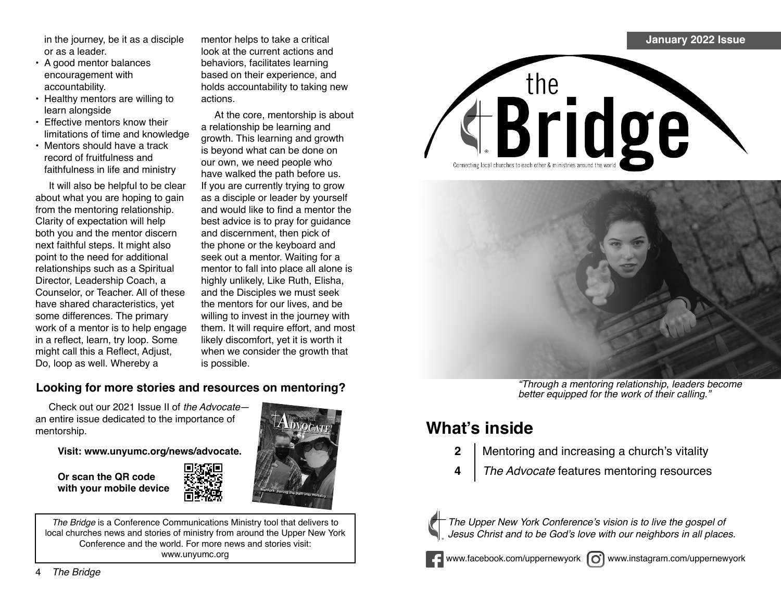in the journey, be it as a disciple or as a leader.

- A good mentor balances encouragement with accountability.
- Healthy mentors are willing to learn alongside
- Effective mentors know their limitations of time and knowledge
- Mentors should have a track record of fruitfulness and faithfulness in life and ministry

It will also be helpful to be clear about what you are hoping to gain from the mentoring relationship. Clarity of expectation will help both you and the mentor discern next faithful steps. It might also point to the need for additional relationships such as a Spiritual Director, Leadership Coach, a Counselor, or Teacher. All of these have shared characteristics, yet some differences. The primary work of a mentor is to help engage in a reflect, learn, try loop. Some might call this a Reflect, Adjust, Do, loop as well. Whereby a

mentor helps to take a critical look at the current actions and behaviors, facilitates learning based on their experience, and holds accountability to taking new actions.

At the core, mentorship is about a relationship be learning and growth. This learning and growth is beyond what can be done on our own, we need people who have walked the path before us. If you are currently trying to grow as a disciple or leader by yourself and would like to find a mentor the best advice is to pray for guidance and discernment, then pick of the phone or the keyboard and seek out a mentor. Waiting for a mentor to fall into place all alone is highly unlikely, Like Ruth, Elisha, and the Disciples we must seek the mentors for our lives, and be willing to invest in the journey with them. It will require effort, and most likely discomfort, yet it is worth it when we consider the growth that is possible.

## **Looking for more stories and resources on mentoring?**

Check out our 2021 Issue II of the Advocate an entire issue dedicated to the importance of mentorship.

**Visit: www.unyumc.org/news/advocate.**

**Or scan the QR code** with your mobile device



*The Bridge* is a Conference Communications Ministry tool that delivers to local churches news and stories of ministry from around the Upper New York Conference and the world. For more news and stories visit: www.unyumc.org



"Through a mentoring relationship, leaders become better equipped for the work of their calling."

## **What's inside**

- **2** | Mentoring and increasing a church's vitality
- **4** The Advocate features mentoring resources



The Upper New York Conference's vision is to live the gospel of Jesus Christ and to be God's love with our neighbors in all places.



www.facebook.com/uppernewyork (c) www.instagram.com/uppernewyork